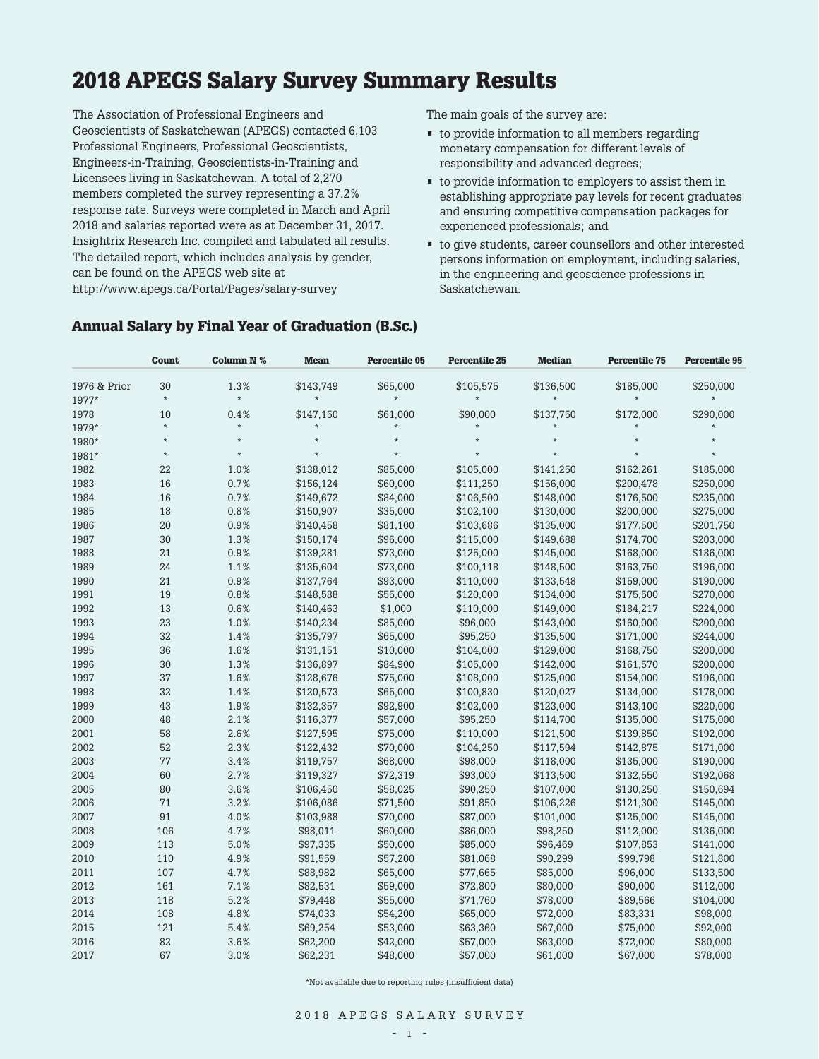# **2018 APEGS Salary Survey Summary Results**

The Association of Professional Engineers and Geoscientists of Saskatchewan (APEGS) contacted 6,103 Professional Engineers, Professional Geoscientists, Engineers-in-Training, Geoscientists-in-Training and Licensees living in Saskatchewan. A total of 2,270 members completed the survey representing a 37.2% response rate. Surveys were completed in March and April 2018 and salaries reported were as at December 31, 2017. Insightrix Research Inc. compiled and tabulated all results. The detailed report, which includes analysis by gender, can be found on the APEGS web site at http://www.apegs.ca/Portal/Pages/salary-survey

The main goals of the survey are:

- to provide information to all members regarding monetary compensation for different levels of responsibility and advanced degrees;
- to provide information to employers to assist them in establishing appropriate pay levels for recent graduates and ensuring competitive compensation packages for experienced professionals; and
- to give students, career counsellors and other interested persons information on employment, including salaries, in the engineering and geoscience professions in Saskatchewan.

|              | Count   | Column N % | <b>Mean</b> | <b>Percentile 05</b> | <b>Percentile 25</b> | <b>Median</b> | <b>Percentile 75</b> | <b>Percentile 95</b> |
|--------------|---------|------------|-------------|----------------------|----------------------|---------------|----------------------|----------------------|
| 1976 & Prior | 30      | 1.3%       | \$143,749   | \$65,000             | \$105,575            | \$136,500     | \$185,000            | \$250,000            |
| 1977*        | $\star$ | $\star$    | $\star$     | $\star$              | $\star$              | $\star$       | $\star$              |                      |
| 1978         | 10      | 0.4%       | \$147,150   | \$61,000             | \$90,000             | \$137,750     | \$172,000            | \$290,000            |
| 1979*        | $\star$ | $\star$    | $\star$     |                      |                      |               |                      |                      |
| 1980*        | $\star$ | $\star$    | $\star$     |                      | $\star$              | $\star$       | $\star$              | $\star$              |
| 1981*        | $\star$ | $\star$    | $\star$     | $\star$              | $\star$              | $\star$       | $\star$              | $\star$              |
| 1982         | 22      | 1.0%       | \$138,012   | \$85.000             | \$105,000            | \$141,250     | \$162.261            | \$185,000            |
| 1983         | 16      | 0.7%       | \$156,124   | \$60,000             | \$111,250            | \$156,000     | \$200,478            | \$250,000            |
| 1984         | 16      | 0.7%       | \$149,672   | \$84,000             | \$106,500            | \$148,000     | \$176,500            | \$235,000            |
| 1985         | 18      | 0.8%       | \$150,907   | \$35,000             | \$102,100            | \$130,000     | \$200,000            | \$275,000            |
| 1986         | 20      | 0.9%       | \$140,458   | \$81,100             | \$103,686            | \$135,000     | \$177,500            | \$201,750            |
| 1987         | 30      | 1.3%       | \$150,174   | \$96,000             | \$115,000            | \$149,688     | \$174,700            | \$203,000            |
| 1988         | 21      | 0.9%       | \$139,281   | \$73,000             | \$125,000            | \$145,000     | \$168,000            | \$186,000            |
| 1989         | 24      | 1.1%       | \$135,604   | \$73,000             | \$100,118            | \$148,500     | \$163,750            | \$196,000            |
| 1990         | 21      | 0.9%       | \$137,764   | \$93,000             | \$110,000            | \$133,548     | \$159,000            | \$190,000            |
| 1991         | 19      | 0.8%       | \$148,588   | \$55,000             | \$120,000            | \$134,000     | \$175,500            | \$270,000            |
| 1992         | 13      | 0.6%       | \$140,463   | \$1,000              | \$110,000            | \$149,000     | \$184,217            | \$224,000            |
| 1993         | 23      | 1.0%       | \$140,234   | \$85,000             | \$96,000             | \$143,000     | \$160,000            | \$200,000            |
| 1994         | 32      | 1.4%       | \$135,797   | \$65,000             | \$95,250             | \$135,500     | \$171,000            | \$244,000            |
| 1995         | 36      | 1.6%       | \$131,151   | \$10,000             | \$104,000            | \$129,000     | \$168,750            | \$200,000            |
| 1996         | 30      | 1.3%       | \$136,897   | \$84,900             | \$105,000            | \$142,000     | \$161,570            | \$200,000            |
| 1997         | 37      | 1.6%       | \$128,676   | \$75,000             | \$108,000            | \$125,000     | \$154,000            | \$196,000            |
| 1998         | 32      | 1.4%       | \$120,573   | \$65,000             | \$100,830            | \$120,027     | \$134,000            | \$178,000            |
| 1999         | 43      | 1.9%       | \$132,357   | \$92,900             | \$102,000            | \$123,000     | \$143,100            | \$220,000            |
| 2000         | 48      | 2.1%       | \$116,377   | \$57,000             | \$95,250             | \$114,700     | \$135,000            | \$175,000            |
| 2001         | 58      | 2.6%       | \$127,595   | \$75,000             | \$110,000            | \$121,500     | \$139,850            | \$192,000            |
| 2002         | 52      | 2.3%       | \$122,432   | \$70,000             | \$104,250            | \$117,594     | \$142,875            | \$171,000            |
| 2003         | 77      | 3.4%       | \$119,757   | \$68,000             | \$98,000             | \$118,000     | \$135,000            | \$190,000            |
| 2004         | 60      | 2.7%       | \$119,327   | \$72,319             | \$93,000             | \$113,500     | \$132,550            | \$192,068            |
| 2005         | 80      | 3.6%       | \$106,450   | \$58,025             | \$90,250             | \$107,000     | \$130,250            | \$150,694            |
| 2006         | 71      | 3.2%       | \$106,086   | \$71,500             | \$91,850             | \$106,226     | \$121,300            | \$145,000            |
| 2007         | 91      | 4.0%       | \$103,988   | \$70,000             | \$87,000             | \$101,000     | \$125,000            | \$145,000            |
| 2008         | 106     | 4.7%       | \$98,011    | \$60,000             | \$86,000             | \$98,250      | \$112,000            | \$136,000            |
| 2009         | 113     | 5.0%       | \$97,335    | \$50,000             | \$85,000             | \$96,469      | \$107,853            | \$141,000            |
| 2010         | 110     | 4.9%       | \$91,559    | \$57,200             | \$81,068             | \$90,299      | \$99,798             | \$121,800            |
| 2011         | 107     | 4.7%       | \$88,982    | \$65,000             | \$77,665             | \$85,000      | \$96,000             | \$133,500            |
| 2012         | 161     | 7.1%       | \$82,531    | \$59,000             | \$72,800             | \$80,000      | \$90,000             | \$112,000            |
| 2013         | 118     | 5.2%       | \$79,448    | \$55,000             | \$71,760             | \$78,000      | \$89,566             | \$104,000            |
| 2014         | 108     | 4.8%       | \$74,033    | \$54,200             | \$65,000             | \$72,000      | \$83,331             | \$98,000             |
| 2015         | 121     | 5.4%       | \$69,254    | \$53,000             | \$63,360             | \$67,000      | \$75,000             | \$92,000             |
| 2016         | 82      | 3.6%       | \$62,200    | \$42,000             | \$57,000             | \$63,000      | \$72,000             | \$80,000             |
| 2017         | 67      | 3.0%       | \$62,231    | \$48,000             | \$57,000             | \$61,000      | \$67,000             | \$78,000             |
|              |         |            |             |                      |                      |               |                      |                      |

### **Annual Salary by Final Year of Graduation (B.Sc.)**

\*Not available due to reporting rules (insufficient data)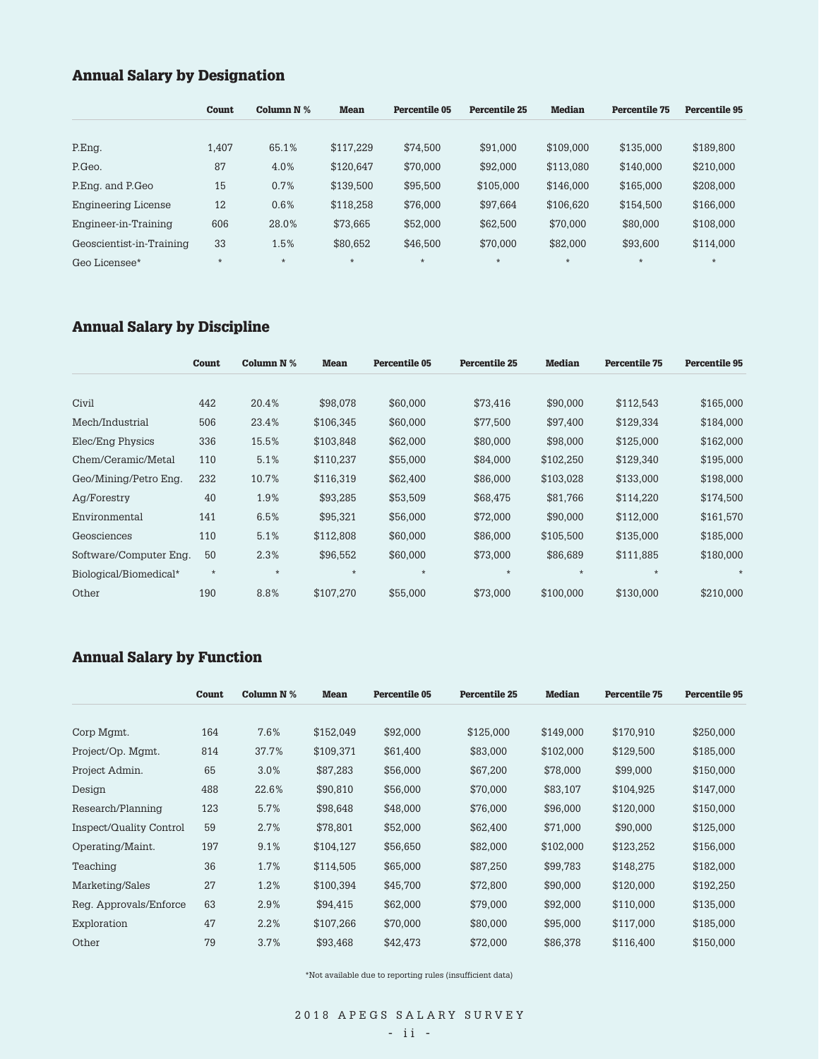# **Annual Salary by Designation**

|                            | <b>Count</b> | Column $N$ % | <b>Mean</b> | <b>Percentile 05</b> | Percentile 25 | <b>Median</b> | <b>Percentile 75</b> | <b>Percentile 95</b> |
|----------------------------|--------------|--------------|-------------|----------------------|---------------|---------------|----------------------|----------------------|
|                            |              |              |             |                      |               |               |                      |                      |
| P.Eng.                     | 1.407        | 65.1%        | \$117.229   | \$74.500             | \$91,000      | \$109,000     | \$135,000            | \$189,800            |
| P.Geo.                     | 87           | 4.0%         | \$120,647   | \$70,000             | \$92,000      | \$113,080     | \$140,000            | \$210,000            |
| P.Eng. and P.Geo           | 15           | 0.7%         | \$139,500   | \$95,500             | \$105,000     | \$146,000     | \$165,000            | \$208,000            |
| <b>Engineering License</b> | 12           | 0.6%         | \$118,258   | \$76,000             | \$97,664      | \$106,620     | \$154,500            | \$166,000            |
| Engineer-in-Training       | 606          | 28.0%        | \$73,665    | \$52,000             | \$62,500      | \$70,000      | \$80,000             | \$108,000            |
| Geoscientist-in-Training   | 33           | 1.5%         | \$80.652    | \$46,500             | \$70.000      | \$82,000      | \$93,600             | \$114,000            |
| Geo Licensee*              | $\star$      | $\star$      | $\star$     | $\star$              | $\star$       | $\star$       | $\star$              | $\star$              |
|                            |              |              |             |                      |               |               |                      |                      |

# **Annual Salary by Discipline**

|                        | Count   | Column $N$ % | <b>Mean</b> | Percentile 05 | <b>Percentile 25</b> | <b>Median</b> | <b>Percentile 75</b> | Percentile 95 |
|------------------------|---------|--------------|-------------|---------------|----------------------|---------------|----------------------|---------------|
| Civil                  | 442     | 20.4%        | \$98,078    | \$60,000      | \$73.416             | \$90,000      | \$112,543            | \$165,000     |
| Mech/Industrial        | 506     | 23.4%        | \$106,345   | \$60,000      | \$77,500             | \$97,400      | \$129,334            | \$184,000     |
| Elec/Eng Physics       | 336     | 15.5%        | \$103,848   | \$62,000      | \$80,000             | \$98,000      | \$125,000            | \$162,000     |
| Chem/Ceramic/Metal     | 110     | 5.1%         | \$110,237   | \$55,000      | \$84,000             | \$102,250     | \$129,340            | \$195,000     |
| Geo/Mining/Petro Eng.  | 232     | 10.7%        | \$116,319   | \$62,400      | \$86,000             | \$103,028     | \$133,000            | \$198,000     |
| Aq/Forestry            | 40      | 1.9%         | \$93,285    | \$53,509      | \$68,475             | \$81,766      | \$114,220            | \$174,500     |
| Environmental          | 141     | 6.5%         | \$95.321    | \$56,000      | \$72,000             | \$90,000      | \$112,000            | \$161,570     |
| Geosciences            | 110     | 5.1%         | \$112,808   | \$60,000      | \$86,000             | \$105.500     | \$135,000            | \$185,000     |
| Software/Computer Eng. | 50      | 2.3%         | \$96,552    | \$60,000      | \$73,000             | \$86,689      | \$111,885            | \$180,000     |
| Biological/Biomedical* | $\star$ | $\star$      | $\star$     | $\star$       | $\star$              | $\star$       | $\star$              | $\star$       |
| Other                  | 190     | 8.8%         | \$107,270   | \$55,000      | \$73,000             | \$100,000     | \$130,000            | \$210,000     |

# **Annual Salary by Function**

|                         | Count | Column N % | <b>Mean</b> | <b>Percentile 05</b> | <b>Percentile 25</b> | <b>Median</b> | <b>Percentile 75</b> | <b>Percentile 95</b> |
|-------------------------|-------|------------|-------------|----------------------|----------------------|---------------|----------------------|----------------------|
|                         |       |            |             |                      |                      |               |                      |                      |
| Corp Mgmt.              | 164   | 7.6%       | \$152,049   | \$92,000             | \$125,000            | \$149,000     | \$170,910            | \$250,000            |
| Project/Op. Mgmt.       | 814   | 37.7%      | \$109,371   | \$61,400             | \$83,000             | \$102,000     | \$129,500            | \$185,000            |
| Project Admin.          | 65    | 3.0%       | \$87,283    | \$56,000             | \$67,200             | \$78,000      | \$99,000             | \$150,000            |
| Design                  | 488   | 22.6%      | \$90,810    | \$56,000             | \$70,000             | \$83,107      | \$104,925            | \$147,000            |
| Research/Planning       | 123   | 5.7%       | \$98,648    | \$48,000             | \$76,000             | \$96,000      | \$120,000            | \$150,000            |
| Inspect/Quality Control | 59    | 2.7%       | \$78,801    | \$52,000             | \$62,400             | \$71,000      | \$90,000             | \$125,000            |
| Operating/Maint.        | 197   | 9.1%       | \$104,127   | \$56,650             | \$82,000             | \$102,000     | \$123,252            | \$156,000            |
| Teaching                | 36    | 1.7%       | \$114,505   | \$65,000             | \$87,250             | \$99,783      | \$148,275            | \$182,000            |
| Marketing/Sales         | 27    | 1.2%       | \$100,394   | \$45,700             | \$72,800             | \$90,000      | \$120,000            | \$192,250            |
| Reg. Approvals/Enforce  | 63    | 2.9%       | \$94,415    | \$62,000             | \$79,000             | \$92,000      | \$110,000            | \$135,000            |
| Exploration             | 47    | 2.2%       | \$107,266   | \$70,000             | \$80,000             | \$95,000      | \$117,000            | \$185,000            |
| Other                   | 79    | 3.7%       | \$93,468    | \$42,473             | \$72,000             | \$86,378      | \$116,400            | \$150,000            |

 $^\ast \! \mathrm{Not}$  available due to reporting rules (insufficient data)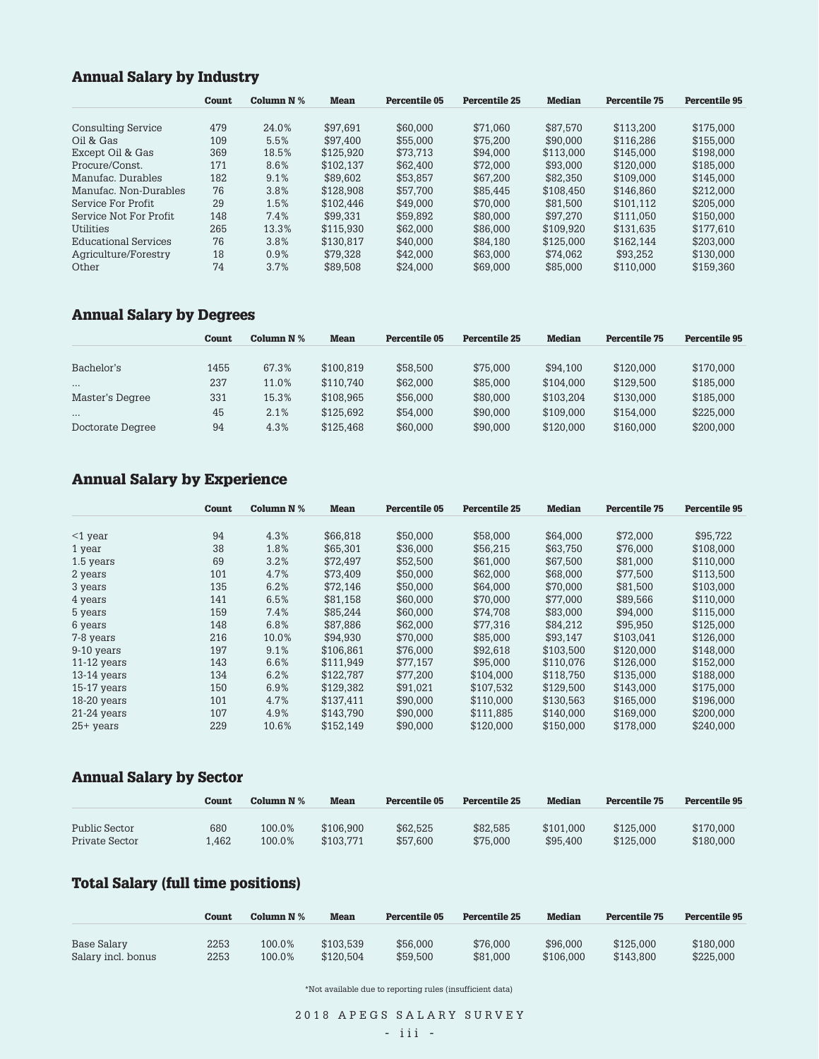# **Annual Salary by Industry**

|                        | Count | Column $N$ % | <b>Mean</b> | Percentile 05 | <b>Percentile 25</b> | <b>Median</b> | <b>Percentile 75</b> | Percentile 95 |
|------------------------|-------|--------------|-------------|---------------|----------------------|---------------|----------------------|---------------|
| Consulting Service     | 479   | 24.0%        | \$97.691    | \$60,000      | \$71.060             | \$87.570      | \$113.200            | \$175,000     |
| Oil & Gas              | 109   | 5.5%         | \$97.400    | \$55,000      | \$75.200             | \$90,000      | \$116.286            | \$155,000     |
| Except Oil & Gas       | 369   | 18.5%        | \$125.920   | \$73.713      | \$94.000             | \$113,000     | \$145,000            | \$198,000     |
| Procure/Const.         | 171   | 8.6%         | \$102.137   | \$62,400      | \$72.000             | \$93,000      | \$120,000            | \$185,000     |
| Manufac Durables       | 182   | 9.1%         | \$89.602    | \$53.857      | \$67,200             | \$82.350      | \$109.000            | \$145,000     |
| Manufac, Non-Durables  | 76    | 3.8%         | \$128,908   | \$57,700      | \$85.445             | \$108.450     | \$146.860            | \$212,000     |
| Service For Profit     | 29    | 1.5%         | \$102.446   | \$49,000      | \$70.000             | \$81.500      | \$101.112            | \$205,000     |
| Service Not For Profit | 148   | 7.4%         | \$99.331    | \$59.892      | \$80,000             | \$97.270      | \$111.050            | \$150,000     |
| Utilities              | 265   | 13.3%        | \$115.930   | \$62,000      | \$86,000             | \$109.920     | \$131.635            | \$177.610     |
| Educational Services   | 76    | 3.8%         | \$130.817   | \$40,000      | \$84.180             | \$125,000     | \$162.144            | \$203,000     |
| Agriculture/Forestry   | 18    | 0.9%         | \$79.328    | \$42,000      | \$63,000             | \$74.062      | \$93.252             | \$130,000     |
| Other                  | 74    | 3.7%         | \$89,508    | \$24.000      | \$69,000             | \$85,000      | \$110.000            | \$159.360     |

# **Annual Salary by Degrees**

| <b>Percentile 95</b> |
|----------------------|
|                      |
| \$170,000            |
| \$185,000            |
| \$185,000            |
| \$225,000            |
| \$200,000            |
|                      |

# **Annual Salary by Experience**

|               | <b>Count</b> | Column $N$ % | <b>Mean</b> | Percentile 05 | Percentile 25 | <b>Median</b> | <b>Percentile 75</b> | <b>Percentile 95</b> |
|---------------|--------------|--------------|-------------|---------------|---------------|---------------|----------------------|----------------------|
|               |              |              |             |               |               |               |                      |                      |
| $<$ 1 year    | 94           | 4.3%         | \$66.818    | \$50,000      | \$58,000      | \$64.000      | \$72,000             | \$95,722             |
| 1 year        | 38           | 1.8%         | \$65,301    | \$36,000      | \$56,215      | \$63,750      | \$76,000             | \$108,000            |
| 1.5 years     | 69           | 3.2%         | \$72.497    | \$52,500      | \$61.000      | \$67.500      | \$81,000             | \$110,000            |
| 2 years       | 101          | 4.7%         | \$73,409    | \$50,000      | \$62,000      | \$68,000      | \$77,500             | \$113,500            |
| 3 years       | 135          | 6.2%         | \$72,146    | \$50,000      | \$64,000      | \$70,000      | \$81,500             | \$103,000            |
| 4 years       | 141          | 6.5%         | \$81.158    | \$60,000      | \$70.000      | \$77.000      | \$89,566             | \$110,000            |
| 5 years       | 159          | 7.4%         | \$85,244    | \$60,000      | \$74,708      | \$83,000      | \$94,000             | \$115,000            |
| 6 years       | 148          | 6.8%         | \$87,886    | \$62,000      | \$77,316      | \$84,212      | \$95,950             | \$125,000            |
| 7-8 years     | 216          | 10.0%        | \$94.930    | \$70.000      | \$85,000      | \$93.147      | \$103.041            | \$126,000            |
| 9-10 years    | 197          | 9.1%         | \$106.861   | \$76,000      | \$92,618      | \$103.500     | \$120,000            | \$148,000            |
| $11-12$ years | 143          | 6.6%         | \$111,949   | \$77.157      | \$95,000      | \$110,076     | \$126,000            | \$152,000            |
| $13-14$ years | 134          | 6.2%         | \$122,787   | \$77.200      | \$104.000     | \$118,750     | \$135,000            | \$188,000            |
| $15-17$ years | 150          | 6.9%         | \$129.382   | \$91.021      | \$107.532     | \$129,500     | \$143.000            | \$175,000            |
| 18-20 years   | 101          | 4.7%         | \$137.411   | \$90,000      | \$110,000     | \$130.563     | \$165,000            | \$196,000            |
| $21-24$ years | 107          | 4.9%         | \$143,790   | \$90,000      | \$111,885     | \$140,000     | \$169,000            | \$200,000            |
| $25+$ years   | 229          | 10.6%        | \$152.149   | \$90,000      | \$120,000     | \$150,000     | \$178,000            | \$240,000            |

# **Annual Salary by Sector**

|                | Count | Column $N\%$ | <b>Mean</b> | Percentile 05 | <b>Percentile 25</b> | <b>Median</b> | <b>Percentile 75</b> | <b>Percentile 95</b> |
|----------------|-------|--------------|-------------|---------------|----------------------|---------------|----------------------|----------------------|
| Public Sector  | 680   | 100.0%       | \$106.900   | \$62.525      | \$82.585             | \$101.000     | \$125,000            | \$170,000            |
| Private Sector | .462  | 100.0%       | \$103.771   | \$57,600      | \$75,000             | \$95.400      | \$125,000            | \$180,000            |

### **Total Salary (full time positions)**

|                    | Count | Column $N$ % | Mean      | Percentile 05 | Percentile 25 | <b>Median</b> | Percentile 75 | <b>Percentile 95</b> |
|--------------------|-------|--------------|-----------|---------------|---------------|---------------|---------------|----------------------|
| Base Salary        | 2253  | 100.0%       | \$103.539 | \$56,000      | \$76,000      | \$96,000      | \$125,000     | \$180,000            |
| Salary incl. bonus | 2253  | 100.0%       | \$120.504 | \$59,500      | \$81.000      | \$106,000     | \$143.800     | \$225,000            |

\*Not available due to reporting rules (insufficient data)